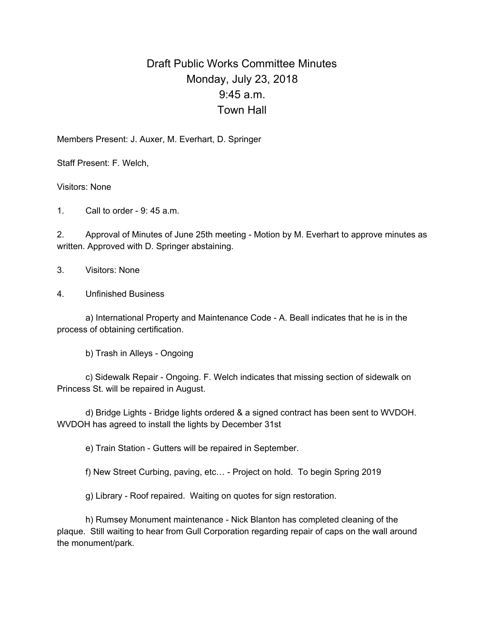## Draft Public Works Committee Minutes Monday, July 23, 2018 9:45 a.m. Town Hall

Members Present: J. Auxer, M. Everhart, D. Springer

Staff Present: F. Welch,

Visitors: None

1. Call to order - 9: 45 a.m.

2. Approval of Minutes of June 25th meeting - Motion by M. Everhart to approve minutes as written. Approved with D. Springer abstaining.

3. Visitors: None

4. Unfinished Business

a) International Property and Maintenance Code - A. Beall indicates that he is in the process of obtaining certification.

b) Trash in Alleys - Ongoing

c) Sidewalk Repair - Ongoing. F. Welch indicates that missing section of sidewalk on Princess St. will be repaired in August.

d) Bridge Lights - Bridge lights ordered & a signed contract has been sent to WVDOH. WVDOH has agreed to install the lights by December 31st

e) Train Station - Gutters will be repaired in September.

f) New Street Curbing, paving, etc… - Project on hold. To begin Spring 2019

g) Library - Roof repaired. Waiting on quotes for sign restoration.

h) Rumsey Monument maintenance - Nick Blanton has completed cleaning of the plaque. Still waiting to hear from Gull Corporation regarding repair of caps on the wall around the monument/park.